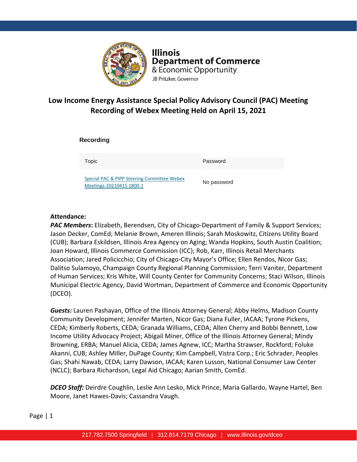

**Illinois Department of Commerce** & Economic Opportunity JB Pritzker, Governor

## **Low Income Energy Assistance Special Policy Advisory Council (PAC) Meeting Recording of Webex Meeting Held on April 15, 2021**

**Recording** 

Topic Password

[Special PAC & PIPP Steering Committee Webex](https://illinois2.webex.com/illinois2/ldr.php?RCID=733d465ff71841f4aa0a1db79614a229)  [Meetings-20210415 1800-1](https://illinois2.webex.com/illinois2/ldr.php?RCID=733d465ff71841f4aa0a1db79614a229)

No password

## **Attendance:**

*PAC Members***:** Elizabeth, Berendsen, City of Chicago-Department of Family & Support Services; Jason Decker, ComEd; Melanie Brown, Ameren Illinois; Sarah Moskowitz, Citizens Utility Board (CUB); Barbara Eskildsen, Illinois Area Agency on Aging; Wanda Hopkins, South Austin Coalition; Joan Howard, Illinois Commerce Commission (ICC); Rob, Karr, Illinois Retail Merchants Association; Jared Policicchio; City of Chicago-City Mayor's Office; Ellen Rendos, Nicor Gas; Dalitso Sulamoyo, Champaign County Regional Planning Commission; Terri Vaniter, Department of Human Services; Kris White, Will County Center for Community Concerns; Staci Wilson, Illinois Municipal Electric Agency, David Wortman, Department of Commerce and Economic Opportunity (DCEO).

*Guests:* Lauren Pashayan, Office of the Illinois Attorney General; Abby Helms, Madison County Community Development; Jennifer Marten, Nicor Gas; Diana Fuller, IACAA; Tyrone Pickens, CEDA; Kimberly Roberts, CEDA; Granada Williams, CEDA; Allen Cherry and Bobbi Bennett, Low Income Utility Advocacy Project; Abigail Miner, Office of the Illinois Attorney General; Mindy Browning, ERBA; Manuel Alicia, CEDA; James Agnew, ICC; Martha Strawser, Rockford; Foluke Akanni, CUB; Ashley Miller, DuPage County; Kim Campbell, Vistra Corp.; Eric Schrader, Peoples Gas; Shahi Nawab, CEDA; Larry Dawson, IACAA; Karen Lusson, National Consumer Law Center (NCLC); Barbara Richardson, Legal Aid Chicago; Aarian Smith, ComEd.

*DCEO Staff:* Deirdre Coughlin, Leslie Ann Lesko, Mick Prince, Maria Gallardo, Wayne Hartel, Ben Moore, Janet Hawes-Davis; Cassandra Vaugh.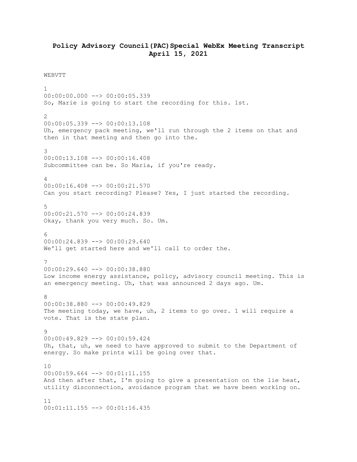## **Policy Advisory Council(PAC)Special WebEx Meeting Transcript April 15, 2021**

## WEBVTT

1 00:00:00.000 --> 00:00:05.339 So, Marie is going to start the recording for this. 1st.  $\mathcal{L}$ 00:00:05.339 --> 00:00:13.108 Uh, emergency pack meeting, we'll run through the 2 items on that and then in that meeting and then go into the. 3 00:00:13.108 --> 00:00:16.408 Subcommittee can be. So Maria, if you're ready. 4 00:00:16.408 --> 00:00:21.570 Can you start recording? Please? Yes, I just started the recording. 5 00:00:21.570 --> 00:00:24.839 Okay, thank you very much. So. Um.  $\kappa$ 00:00:24.839 --> 00:00:29.640 We'll get started here and we'll call to order the. 7 00:00:29.640 --> 00:00:38.880 Low income energy assistance, policy, advisory council meeting. This is an emergency meeting. Uh, that was announced 2 days ago. Um. 8 00:00:38.880 --> 00:00:49.829 The meeting today, we have, uh, 2 items to go over. 1 will require a vote. That is the state plan. 9  $00:00:49.829$  -->  $00:00:59.424$ Uh, that, uh, we need to have approved to submit to the Department of energy. So make prints will be going over that. 10  $00:00:59.664$  -->  $00:01:11.155$ And then after that, I'm going to give a presentation on the lie heat, utility disconnection, avoidance program that we have been working on. 11 00:01:11.155 --> 00:01:16.435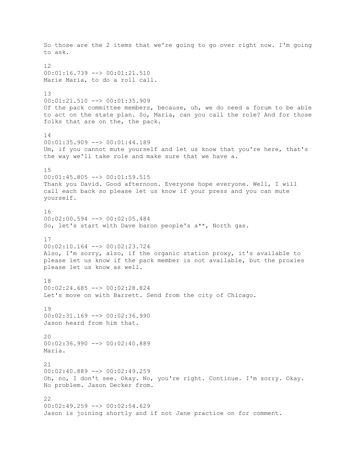So those are the 2 items that we're going to go over right now. I'm going to ask. 12 00:01:16.739 --> 00:01:21.510 Marie Maria, to do a roll call. 13 00:01:21.510 --> 00:01:35.909 Of the pack committee members, because, uh, we do need a forum to be able to act on the state plan. So, Maria, can you call the role? And for those folks that are on the, the pack. 14 00:01:35.909 --> 00:01:44.189 Um, if you cannot mute yourself and let us know that you're here, that's the way we'll take role and make sure that we have a. 15 00:01:45.805 --> 00:01:59.515 Thank you David. Good afternoon. Everyone hope everyone. Well, I will call each back so please let us know if your press and you can mute yourself. 16 00:02:00.594 --> 00:02:05.484 So, let's start with Dave baron people's a\*\*, North gas. 17 00:02:10.164 --> 00:02:23.724 Also, I'm sorry, also, if the organic station proxy, it's available to please let us know if the pack member is not available, but the proxies please let us know as well. 18 00:02:24.685 --> 00:02:28.824 Let's move on with Barrett. Send from the city of Chicago. 19 00:02:31.169 --> 00:02:36.990 Jason heard from him that. 20 00:02:36.990 --> 00:02:40.889 Maria. 21 00:02:40.889 --> 00:02:49.259 Oh, no, I don't see. Okay. No, you're right. Continue. I'm sorry. Okay. No problem. Jason Decker from. 22 00:02:49.259 --> 00:02:54.629 Jason is joining shortly and if not Jane practice on for comment.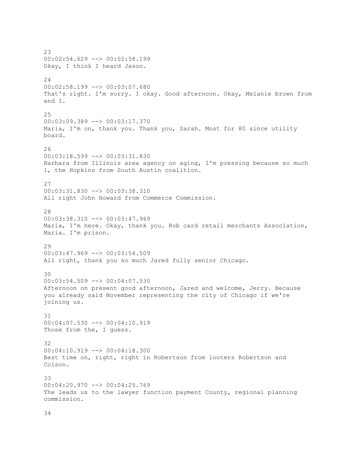23 00:02:54.629 --> 00:02:58.199 Okay, I think I heard Jason. 24 00:02:58.199 --> 00:03:07.680 That's right. I'm sorry. I okay. Good afternoon. Okay, Melanie brown from and I. 25 00:03:09.389 --> 00:03:17.370 Maria, I'm on, thank you. Thank you, Sarah. Most for 80 since utility board. 26 00:03:18.599 --> 00:03:31.830 Barbara from Illinois area agency on aging, I'm pressing because so much 1, the Hopkins from South Austin coalition. 27 00:03:31.830 --> 00:03:38.310 All right John Howard from Commerce Commission. 28 00:03:38.310 --> 00:03:47.969 Maria, I'm here. Okay, thank you. Rob card retail merchants Association, Maria. I'm prison. 29 00:03:47.969 --> 00:03:54.509 All right, thank you so much Jared fully senior Chicago. 30 00:03:54.509 --> 00:04:07.530 Afternoon on present good afternoon, Jared and welcome, Jerry. Because you already said November representing the city of Chicago if we're joining us. 31 00:04:07.530 --> 00:04:10.919 Those from the, I guess. 32 00:04:10.919 --> 00:04:18.300 Best time on, right, right in Robertson from looters Robertson and Colson. 33 00:04:20.970 --> 00:04:25.769 The leads us to the lawyer function payment County, regional planning commission.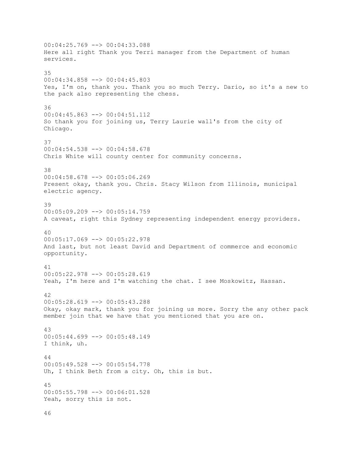00:04:25.769 --> 00:04:33.088 Here all right Thank you Terri manager from the Department of human services. 35 00:04:34.858 --> 00:04:45.803 Yes, I'm on, thank you. Thank you so much Terry. Dario, so it's a new to the pack also representing the chess. 36  $00:04:45.863$  -->  $00:04:51.112$ So thank you for joining us, Terry Laurie wall's from the city of Chicago. 37 00:04:54.538 --> 00:04:58.678 Chris White will county center for community concerns. 38 00:04:58.678 --> 00:05:06.269 Present okay, thank you. Chris. Stacy Wilson from Illinois, municipal electric agency. 39 00:05:09.209 --> 00:05:14.759 A caveat, right this Sydney representing independent energy providers. 40 00:05:17.069 --> 00:05:22.978 And last, but not least David and Department of commerce and economic opportunity. 41 00:05:22.978 --> 00:05:28.619 Yeah, I'm here and I'm watching the chat. I see Moskowitz, Hassan. 42 00:05:28.619 --> 00:05:43.288 Okay, okay mark, thank you for joining us more. Sorry the any other pack member join that we have that you mentioned that you are on. 43 00:05:44.699 --> 00:05:48.149 I think, uh. 44 00:05:49.528 --> 00:05:54.778 Uh, I think Beth from a city. Oh, this is but. 45 00:05:55.798 --> 00:06:01.528 Yeah, sorry this is not.

46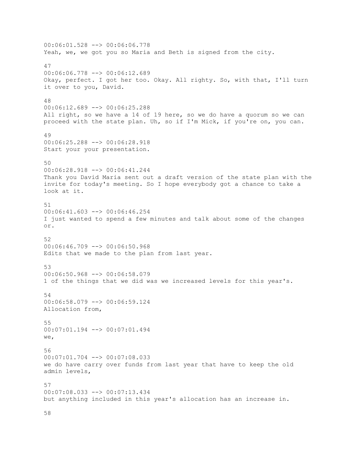00:06:01.528 --> 00:06:06.778 Yeah, we, we got you so Maria and Beth is signed from the city. 47 00:06:06.778 --> 00:06:12.689 Okay, perfect. I got her too. Okay. All righty. So, with that, I'll turn it over to you, David. 48 00:06:12.689 --> 00:06:25.288 All right, so we have a 14 of 19 here, so we do have a quorum so we can proceed with the state plan. Uh, so if I'm Mick, if you're on, you can. 49 00:06:25.288 --> 00:06:28.918 Start your your presentation. 50 00:06:28.918 --> 00:06:41.244 Thank you David Maria sent out a draft version of the state plan with the invite for today's meeting. So I hope everybody got a chance to take a look at it. 51 00:06:41.603 --> 00:06:46.254 I just wanted to spend a few minutes and talk about some of the changes or. 52 00:06:46.709 --> 00:06:50.968 Edits that we made to the plan from last year. 53 00:06:50.968 --> 00:06:58.079 1 of the things that we did was we increased levels for this year's. 54 00:06:58.079 --> 00:06:59.124 Allocation from, 55 00:07:01.194 --> 00:07:01.494 we, 56  $00:07:01.704$   $\rightarrow$  00:07:08.033 we do have carry over funds from last year that have to keep the old admin levels, 57 00:07:08.033 --> 00:07:13.434 but anything included in this year's allocation has an increase in.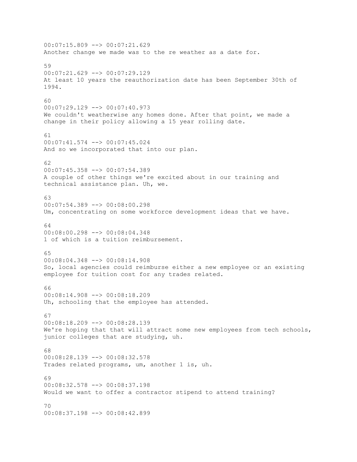00:07:15.809 --> 00:07:21.629 Another change we made was to the re weather as a date for. 59 00:07:21.629 --> 00:07:29.129 At least 10 years the reauthorization date has been September 30th of 1994.  $60$ 00:07:29.129 --> 00:07:40.973 We couldn't weatherwise any homes done. After that point, we made a change in their policy allowing a 15 year rolling date. 61 00:07:41.574 --> 00:07:45.024 And so we incorporated that into our plan. 62 00:07:45.358 --> 00:07:54.389 A couple of other things we're excited about in our training and technical assistance plan. Uh, we. 63 00:07:54.389 --> 00:08:00.298 Um, concentrating on some workforce development ideas that we have. 64 00:08:00.298 --> 00:08:04.348 1 of which is a tuition reimbursement. 65 00:08:04.348 --> 00:08:14.908 So, local agencies could reimburse either a new employee or an existing employee for tuition cost for any trades related. 66 00:08:14.908 --> 00:08:18.209 Uh, schooling that the employee has attended. 67 00:08:18.209 --> 00:08:28.139 We're hoping that that will attract some new employees from tech schools, junior colleges that are studying, uh. 68  $00:08:28.139$   $\rightarrow$   $00:08:32.578$ Trades related programs, um, another 1 is, uh. 69 00:08:32.578 --> 00:08:37.198 Would we want to offer a contractor stipend to attend training? 70 00:08:37.198 --> 00:08:42.899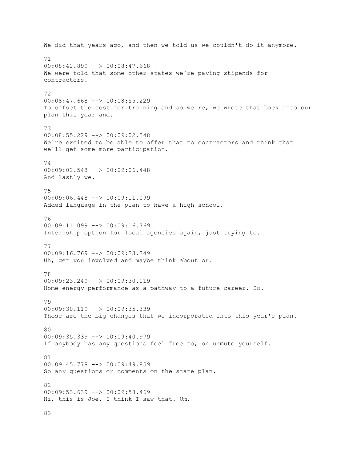We did that years ago, and then we told us we couldn't do it anymore. 71 00:08:42.899 --> 00:08:47.668 We were told that some other states we're paying stipends for contractors. 72 00:08:47.668 --> 00:08:55.229 To offset the cost for training and so we re, we wrote that back into our plan this year and. 73 00:08:55.229 --> 00:09:02.548 We're excited to be able to offer that to contractors and think that we'll get some more participation. 74 00:09:02.548 --> 00:09:06.448 And lastly we. 75 00:09:06.448 --> 00:09:11.099 Added language in the plan to have a high school. 76 00:09:11.099 --> 00:09:16.769 Internship option for local agencies again, just trying to. 77 00:09:16.769 --> 00:09:23.249 Uh, get you involved and maybe think about or. 78 00:09:23.249 --> 00:09:30.119 Home energy performance as a pathway to a future career. So. 79 00:09:30.119 --> 00:09:35.339 Those are the big changes that we incorporated into this year's plan. 80 00:09:35.339 --> 00:09:40.979 If anybody has any questions feel free to, on unmute yourself. 81 00:09:45.778 --> 00:09:49.859 So any questions or comments on the state plan. 82 00:09:53.639 --> 00:09:58.469 Hi, this is Joe. I think I saw that. Um.

83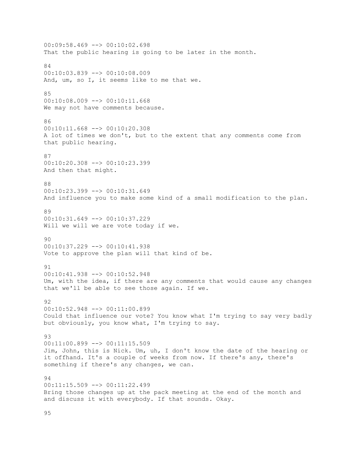00:09:58.469 --> 00:10:02.698 That the public hearing is going to be later in the month. 84 00:10:03.839 --> 00:10:08.009 And, um, so I, it seems like to me that we. 85 00:10:08.009 --> 00:10:11.668 We may not have comments because. 86 00:10:11.668 --> 00:10:20.308 A lot of times we don't, but to the extent that any comments come from that public hearing. 87 00:10:20.308 --> 00:10:23.399 And then that might. 88 00:10:23.399 --> 00:10:31.649 And influence you to make some kind of a small modification to the plan. 89 00:10:31.649 --> 00:10:37.229 Will we will we are vote today if we.  $90$ 00:10:37.229 --> 00:10:41.938 Vote to approve the plan will that kind of be. 91 00:10:41.938 --> 00:10:52.948 Um, with the idea, if there are any comments that would cause any changes that we'll be able to see those again. If we. 92 00:10:52.948 --> 00:11:00.899 Could that influence our vote? You know what I'm trying to say very badly but obviously, you know what, I'm trying to say. 93 00:11:00.899 --> 00:11:15.509 Jim, John, this is Nick. Um, uh, I don't know the date of the hearing or it offhand. It's a couple of weeks from now. If there's any, there's something if there's any changes, we can. 94 00:11:15.509 --> 00:11:22.499 Bring those changes up at the pack meeting at the end of the month and and discuss it with everybody. If that sounds. Okay.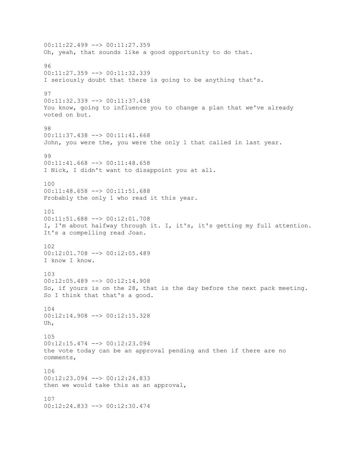00:11:22.499 --> 00:11:27.359 Oh, yeah, that sounds like a good opportunity to do that. 96 00:11:27.359 --> 00:11:32.339 I seriously doubt that there is going to be anything that's. 97 00:11:32.339 --> 00:11:37.438 You know, going to influence you to change a plan that we've already voted on but. 98 00:11:37.438 --> 00:11:41.668 John, you were the, you were the only 1 that called in last year. 99 00:11:41.668 --> 00:11:48.658 I Nick, I didn't want to disappoint you at all. 100 00:11:48.658 --> 00:11:51.688 Probably the only 1 who read it this year. 101 00:11:51.688 --> 00:12:01.708 I, I'm about halfway through it. I, it's, it's getting my full attention. It's a compelling read Joan. 102 00:12:01.708 --> 00:12:05.489 I know I know. 103 00:12:05.489 --> 00:12:14.908 So, if yours is on the 28, that is the day before the next pack meeting. So I think that that's a good. 104 00:12:14.908 --> 00:12:15.328 Uh, 105 00:12:15.474 --> 00:12:23.094 the vote today can be an approval pending and then if there are no comments, 106 00:12:23.094 --> 00:12:24.833 then we would take this as an approval, 107 00:12:24.833 --> 00:12:30.474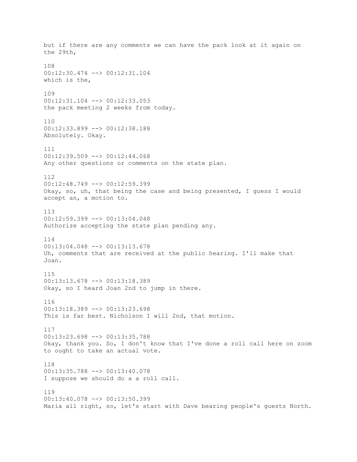but if there are any comments we can have the pack look at it again on the 29th, 108 00:12:30.474 --> 00:12:31.104 which is the, 109 00:12:31.104 --> 00:12:33.053 the pack meeting 2 weeks from today. 110 00:12:33.899 --> 00:12:38.188 Absolutely. Okay. 111  $00:12:39.509$  -->  $00:12:44.068$ Any other questions or comments on the state plan. 112 00:12:48.749 --> 00:12:59.399 Okay, so, uh, that being the case and being presented, I guess I would accept an, a motion to. 113 00:12:59.399 --> 00:13:04.048 Authorize accepting the state plan pending any. 114 00:13:04.048 --> 00:13:13.678 Uh, comments that are received at the public hearing. I'll make that Joan. 115 00:13:13.678 --> 00:13:18.389 Okay, so I heard Joan 2nd to jump in there. 116 00:13:18.389 --> 00:13:23.698 This is far best. Nicholson I will 2nd, that motion. 117 00:13:23.698 --> 00:13:35.788 Okay, thank you. So, I don't know that I've done a roll call here on zoom to ought to take an actual vote. 118 00:13:35.788 --> 00:13:40.078 I suppose we should do a a roll call. 119 00:13:40.078 --> 00:13:50.399 Maria all right, so, let's start with Dave bearing people's guests North.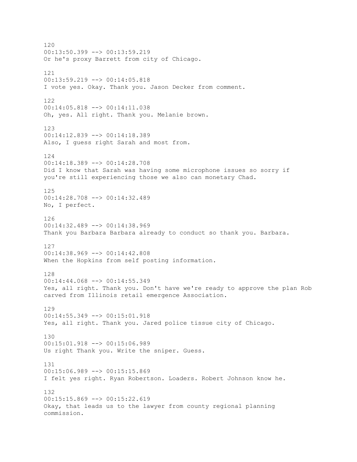120 00:13:50.399 --> 00:13:59.219 Or he's proxy Barrett from city of Chicago. 121 00:13:59.219 --> 00:14:05.818 I vote yes. Okay. Thank you. Jason Decker from comment. 122 00:14:05.818 --> 00:14:11.038 Oh, yes. All right. Thank you. Melanie brown. 123 00:14:12.839 --> 00:14:18.389 Also, I guess right Sarah and most from. 124 00:14:18.389 --> 00:14:28.708 Did I know that Sarah was having some microphone issues so sorry if you're still experiencing those we also can monetary Chad. 125 00:14:28.708 --> 00:14:32.489 No, I perfect. 126 00:14:32.489 --> 00:14:38.969 Thank you Barbara Barbara already to conduct so thank you. Barbara. 127 00:14:38.969 --> 00:14:42.808 When the Hopkins from self posting information. 128 00:14:44.068 --> 00:14:55.349 Yes, all right. Thank you. Don't have we're ready to approve the plan Rob carved from Illinois retail emergence Association. 129 00:14:55.349 --> 00:15:01.918 Yes, all right. Thank you. Jared police tissue city of Chicago. 130 00:15:01.918 --> 00:15:06.989 Us right Thank you. Write the sniper. Guess. 131 00:15:06.989 --> 00:15:15.869 I felt yes right. Ryan Robertson. Loaders. Robert Johnson know he. 132 00:15:15.869 --> 00:15:22.619 Okay, that leads us to the lawyer from county regional planning commission.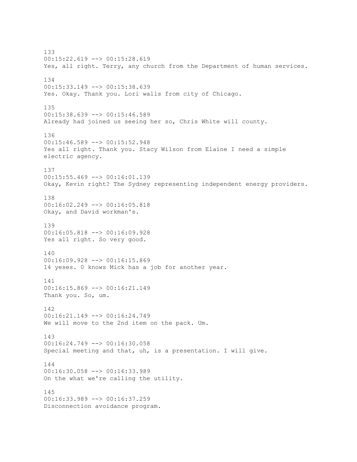133 00:15:22.619 --> 00:15:28.619 Yes, all right. Terry, any church from the Department of human services. 134 00:15:33.149 --> 00:15:38.639 Yes. Okay. Thank you. Lori walls from city of Chicago. 135  $00:15:38.639$  -->  $00:15:46.589$ Already had joined us seeing her so, Chris White will county. 136 00:15:46.589 --> 00:15:52.948 Yes all right. Thank you. Stacy Wilson from Elaine I need a simple electric agency. 137 00:15:55.469 --> 00:16:01.139 Okay, Kevin right? The Sydney representing independent energy providers. 138 00:16:02.249 --> 00:16:05.818 Okay, and David workman's. 139 00:16:05.818 --> 00:16:09.928 Yes all right. So very good. 140 00:16:09.928 --> 00:16:15.869 14 yeses. 0 knows Mick has a job for another year. 141 00:16:15.869 --> 00:16:21.149 Thank you. So, um. 142 00:16:21.149 --> 00:16:24.749 We will move to the 2nd item on the pack. Um. 143 00:16:24.749 --> 00:16:30.058 Special meeting and that, uh, is a presentation. I will give. 144 00:16:30.058 --> 00:16:33.989 On the what we're calling the utility. 145 00:16:33.989 --> 00:16:37.259 Disconnection avoidance program.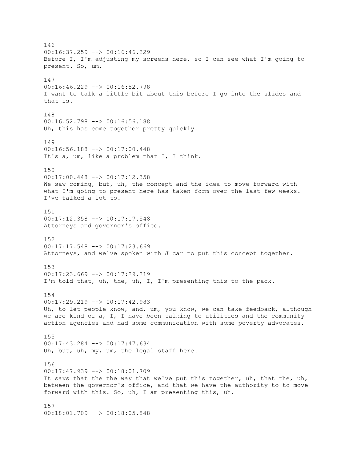146 00:16:37.259 --> 00:16:46.229 Before I, I'm adjusting my screens here, so I can see what I'm going to present. So, um. 147 00:16:46.229 --> 00:16:52.798 I want to talk a little bit about this before I go into the slides and that is. 148 00:16:52.798 --> 00:16:56.188 Uh, this has come together pretty quickly. 149 00:16:56.188 --> 00:17:00.448 It's a, um, like a problem that I, I think. 150 00:17:00.448 --> 00:17:12.358 We saw coming, but, uh, the concept and the idea to move forward with what I'm going to present here has taken form over the last few weeks. I've talked a lot to. 151 00:17:12.358 --> 00:17:17.548 Attorneys and governor's office. 152 00:17:17.548 --> 00:17:23.669 Attorneys, and we've spoken with J car to put this concept together. 153  $00:17:23.669$  -->  $00:17:29.219$ I'm told that, uh, the, uh, I, I'm presenting this to the pack. 154 00:17:29.219 --> 00:17:42.983 Uh, to let people know, and, um, you know, we can take feedback, although we are kind of a, I, I have been talking to utilities and the community action agencies and had some communication with some poverty advocates. 155 00:17:43.284 --> 00:17:47.634 Uh, but, uh, my, um, the legal staff here. 156 00:17:47.939 --> 00:18:01.709 It says that the the way that we've put this together, uh, that the, uh, between the governor's office, and that we have the authority to to move forward with this. So, uh, I am presenting this, uh. 157 00:18:01.709 --> 00:18:05.848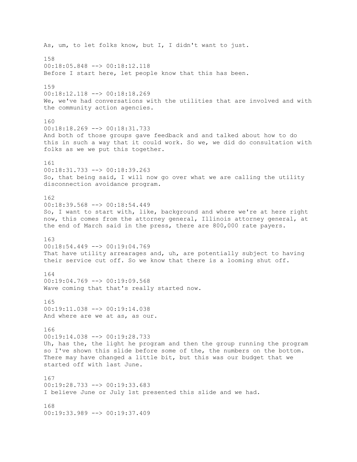As, um, to let folks know, but I, I didn't want to just. 158  $00:18:05.848$   $\longrightarrow$   $00:18:12.118$ Before I start here, let people know that this has been. 159 00:18:12.118 --> 00:18:18.269 We, we've had conversations with the utilities that are involved and with the community action agencies. 160 00:18:18.269 --> 00:18:31.733 And both of those groups gave feedback and and talked about how to do this in such a way that it could work. So we, we did do consultation with folks as we we put this together. 161 00:18:31.733 --> 00:18:39.263 So, that being said, I will now go over what we are calling the utility disconnection avoidance program. 162 00:18:39.568 --> 00:18:54.449 So, I want to start with, like, background and where we're at here right now, this comes from the attorney general, Illinois attorney general, at the end of March said in the press, there are 800,000 rate payers. 163 00:18:54.449 --> 00:19:04.769 That have utility arrearages and, uh, are potentially subject to having their service cut off. So we know that there is a looming shut off. 164 00:19:04.769 --> 00:19:09.568 Wave coming that that's really started now. 165 00:19:11.038 --> 00:19:14.038 And where are we at as, as our. 166 00:19:14.038 --> 00:19:28.733 Uh, has the, the light he program and then the group running the program so I've shown this slide before some of the, the numbers on the bottom. There may have changed a little bit, but this was our budget that we started off with last June. 167 00:19:28.733 --> 00:19:33.683 I believe June or July 1st presented this slide and we had. 168  $00:19:33.989$   $\longrightarrow$   $00:19:37.409$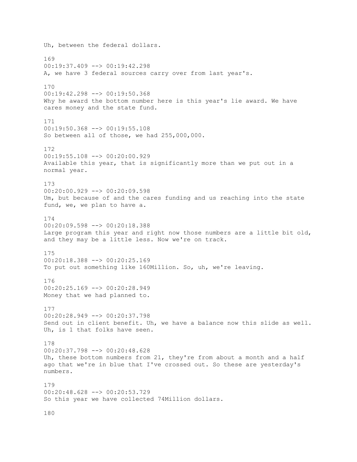Uh, between the federal dollars. 169  $00:19:37.409$  -->  $00:19:42.298$ A, we have 3 federal sources carry over from last year's. 170 00:19:42.298 --> 00:19:50.368 Why he award the bottom number here is this year's lie award. We have cares money and the state fund. 171 00:19:50.368 --> 00:19:55.108 So between all of those, we had 255,000,000. 172  $00:19:55.108$   $\leftarrow$   $>$  00:20:00.929 Available this year, that is significantly more than we put out in a normal year. 173 00:20:00.929 --> 00:20:09.598 Um, but because of and the cares funding and us reaching into the state fund, we, we plan to have a. 174 00:20:09.598 --> 00:20:18.388 Large program this year and right now those numbers are a little bit old, and they may be a little less. Now we're on track. 175 00:20:18.388 --> 00:20:25.169 To put out something like 160Million. So, uh, we're leaving. 176 00:20:25.169 --> 00:20:28.949 Money that we had planned to. 177 00:20:28.949 --> 00:20:37.798 Send out in client benefit. Uh, we have a balance now this slide as well. Uh, is 1 that folks have seen. 178 00:20:37.798 --> 00:20:48.628 Uh, these bottom numbers from 21, they're from about a month and a half ago that we're in blue that I've crossed out. So these are yesterday's numbers. 179 00:20:48.628 --> 00:20:53.729 So this year we have collected 74Million dollars.

180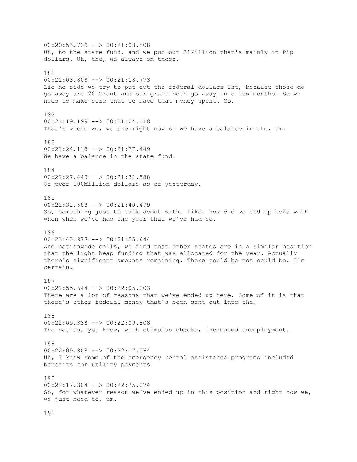00:20:53.729 --> 00:21:03.808 Uh, to the state fund, and we put out 31Million that's mainly in Pip dollars. Uh, the, we always on these. 181 00:21:03.808 --> 00:21:18.773 Lie he side we try to put out the federal dollars 1st, because those do go away are 20 Grant and our grant both go away in a few months. So we need to make sure that we have that money spent. So. 182 00:21:19.199 --> 00:21:24.118 That's where we, we are right now so we have a balance in the, um. 183 00:21:24.118 --> 00:21:27.449 We have a balance in the state fund. 184 00:21:27.449 --> 00:21:31.588 Of over 100Million dollars as of yesterday. 185 00:21:31.588 --> 00:21:40.499 So, something just to talk about with, like, how did we end up here with when when we've had the year that we've had so. 186 00:21:40.973 --> 00:21:55.644 And nationwide calls, we find that other states are in a similar position that the light heap funding that was allocated for the year. Actually there's significant amounts remaining. There could be not could be. I'm certain. 187 00:21:55.644 --> 00:22:05.003 There are a lot of reasons that we've ended up here. Some of it is that there's other federal money that's been sent out into the. 188 00:22:05.338 --> 00:22:09.808 The nation, you know, with stimulus checks, increased unemployment. 189 00:22:09.808 --> 00:22:17.064 Uh, I know some of the emergency rental assistance programs included benefits for utility payments. 190 00:22:17.304 --> 00:22:25.074 So, for whatever reason we've ended up in this position and right now we, we just need to, um.

191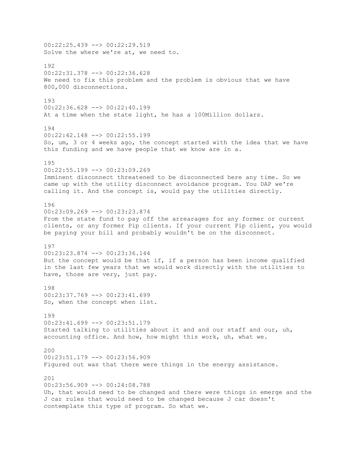00:22:25.439 --> 00:22:29.519 Solve the where we're at, we need to. 192 00:22:31.378 --> 00:22:36.628 We need to fix this problem and the problem is obvious that we have 800,000 disconnections. 193 00:22:36.628 --> 00:22:40.199 At a time when the state light, he has a 100Million dollars. 194 00:22:42.148 --> 00:22:55.199 So, um, 3 or 4 weeks ago, the concept started with the idea that we have this funding and we have people that we know are in a. 195 00:22:55.199 --> 00:23:09.269 Imminent disconnect threatened to be disconnected here any time. So we came up with the utility disconnect avoidance program. You DAP we're calling it. And the concept is, would pay the utilities directly. 196  $00:23:09.269$  -->  $00:23:23.874$ From the state fund to pay off the arrearages for any former or current clients, or any former Pip clients. If your current Pip client, you would be paying your bill and probably wouldn't be on the disconnect. 197 00:23:23.874 --> 00:23:36.144 But the concept would be that if, if a person has been income qualified in the last few years that we would work directly with the utilities to have, those are very, just pay. 198 00:23:37.769 --> 00:23:41.699 So, when the concept when i1st. 199  $00:23:41.699$  -->  $00:23:51.179$ Started talking to utilities about it and and our staff and our, uh, accounting office. And how, how might this work, uh, what we. 200  $00:23:51.179$   $\rightarrow$   $00:23:56.909$ Figured out was that there were things in the energy assistance. 201 00:23:56.909 --> 00:24:08.788 Uh, that would need to be changed and there were things in emerge and the J car rules that would need to be changed because J car doesn't contemplate this type of program. So what we.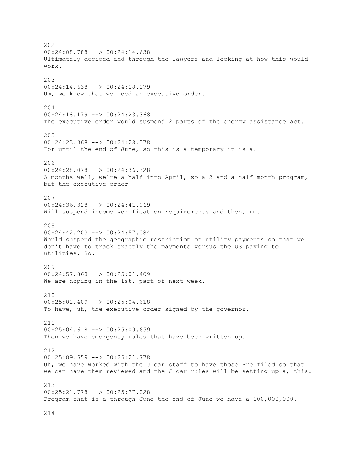202 00:24:08.788 --> 00:24:14.638 Ultimately decided and through the lawyers and looking at how this would work. 203 00:24:14.638 --> 00:24:18.179 Um, we know that we need an executive order. 204  $00:24:18.179$  -->  $00:24:23.368$ The executive order would suspend 2 parts of the energy assistance act. 205 00:24:23.368 --> 00:24:28.078 For until the end of June, so this is a temporary it is a. 206 00:24:28.078 --> 00:24:36.328 3 months well, we're a half into April, so a 2 and a half month program, but the executive order. 207 00:24:36.328 --> 00:24:41.969 Will suspend income verification requirements and then, um. 208 00:24:42.203 --> 00:24:57.084 Would suspend the geographic restriction on utility payments so that we don't have to track exactly the payments versus the US paying to utilities. So. 209 00:24:57.868 --> 00:25:01.409 We are hoping in the 1st, part of next week. 210 00:25:01.409 --> 00:25:04.618 To have, uh, the executive order signed by the governor. 211 00:25:04.618 --> 00:25:09.659 Then we have emergency rules that have been written up. 212  $00:25:09.659$  -->  $00:25:21.778$ Uh, we have worked with the J car staff to have those Pre filed so that we can have them reviewed and the J car rules will be setting up a, this. 213 00:25:21.778 --> 00:25:27.028 Program that is a through June the end of June we have a 100,000,000.

214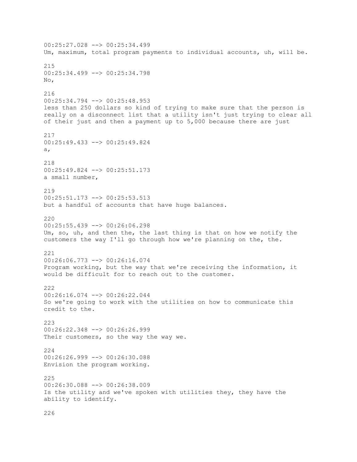00:25:27.028 --> 00:25:34.499 Um, maximum, total program payments to individual accounts, uh, will be. 215 00:25:34.499 --> 00:25:34.798 No, 216 00:25:34.794 --> 00:25:48.953 less than 250 dollars so kind of trying to make sure that the person is really on a disconnect list that a utility isn't just trying to clear all of their just and then a payment up to 5,000 because there are just 217 00:25:49.433 --> 00:25:49.824 a, 218 00:25:49.824 --> 00:25:51.173 a small number, 219 00:25:51.173 --> 00:25:53.513 but a handful of accounts that have huge balances. 220 00:25:55.439 --> 00:26:06.298 Um, so, uh, and then the, the last thing is that on how we notify the customers the way I'll go through how we're planning on the, the. 221 00:26:06.773 --> 00:26:16.074 Program working, but the way that we're receiving the information, it would be difficult for to reach out to the customer. 222 00:26:16.074 --> 00:26:22.044 So we're going to work with the utilities on how to communicate this credit to the. 223 00:26:22.348 --> 00:26:26.999 Their customers, so the way the way we. 224 00:26:26.999 --> 00:26:30.088 Envision the program working. 225 00:26:30.088 --> 00:26:38.009 Is the utility and we've spoken with utilities they, they have the ability to identify.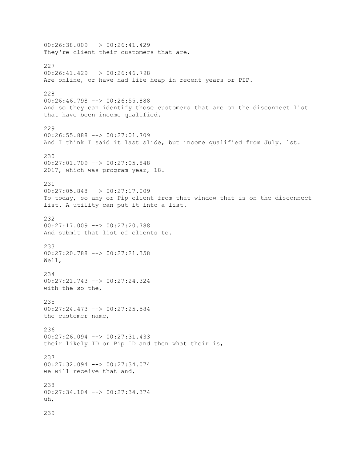00:26:38.009 --> 00:26:41.429 They're client their customers that are. 227 00:26:41.429 --> 00:26:46.798 Are online, or have had life heap in recent years or PIP. 228 00:26:46.798 --> 00:26:55.888 And so they can identify those customers that are on the disconnect list that have been income qualified. 229 00:26:55.888 --> 00:27:01.709 And I think I said it last slide, but income qualified from July. 1st. 230 00:27:01.709 --> 00:27:05.848 2017, which was program year, 18. 231 00:27:05.848 --> 00:27:17.009 To today, so any or Pip client from that window that is on the disconnect list. A utility can put it into a list. 232 00:27:17.009 --> 00:27:20.788 And submit that list of clients to. 233 00:27:20.788 --> 00:27:21.358 Well, 234 00:27:21.743 --> 00:27:24.324 with the so the, 235 00:27:24.473 --> 00:27:25.584 the customer name, 236 00:27:26.094 --> 00:27:31.433 their likely ID or Pip ID and then what their is, 237 00:27:32.094 --> 00:27:34.074 we will receive that and, 238 00:27:34.104 --> 00:27:34.374 uh, 239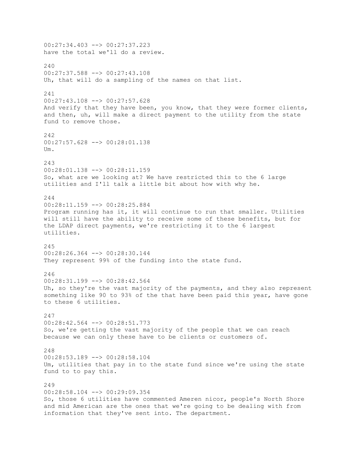00:27:34.403 --> 00:27:37.223 have the total we'll do a review. 240 00:27:37.588 --> 00:27:43.108 Uh, that will do a sampling of the names on that list. 241 00:27:43.108 --> 00:27:57.628 And verify that they have been, you know, that they were former clients, and then, uh, will make a direct payment to the utility from the state fund to remove those. 242 00:27:57.628 --> 00:28:01.138  $IIm$ 243 00:28:01.138 --> 00:28:11.159 So, what are we looking at? We have restricted this to the 6 large utilities and I'll talk a little bit about how with why he. 244 00:28:11.159 --> 00:28:25.884 Program running has it, it will continue to run that smaller. Utilities will still have the ability to receive some of these benefits, but for the LDAP direct payments, we're restricting it to the 6 largest utilities. 245 00:28:26.364 --> 00:28:30.144 They represent 99% of the funding into the state fund. 246 00:28:31.199 --> 00:28:42.564 Uh, so they're the vast majority of the payments, and they also represent something like 90 to 93% of the that have been paid this year, have gone to these 6 utilities. 247 00:28:42.564 --> 00:28:51.773 So, we're getting the vast majority of the people that we can reach because we can only these have to be clients or customers of. 248  $00:28:53.189$   $\rightarrow$   $00:28:58.104$ Um, utilities that pay in to the state fund since we're using the state fund to to pay this. 249 00:28:58.104 --> 00:29:09.354 So, those 6 utilities have commented Ameren nicor, people's North Shore and mid American are the ones that we're going to be dealing with from information that they've sent into. The department.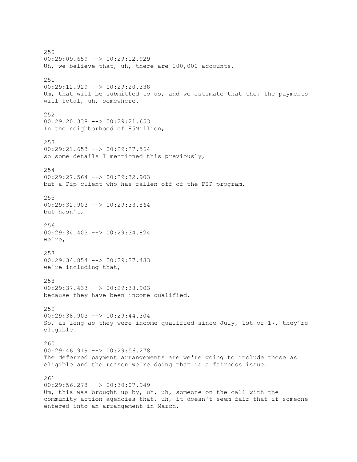250 00:29:09.659 --> 00:29:12.929 Uh, we believe that, uh, there are 100,000 accounts. 251 00:29:12.929 --> 00:29:20.338 Um, that will be submitted to us, and we estimate that the, the payments will total, uh, somewhere. 252 00:29:20.338 --> 00:29:21.653 In the neighborhood of 85Million, 253 00:29:21.653 --> 00:29:27.564 so some details I mentioned this previously, 254 00:29:27.564 --> 00:29:32.903 but a Pip client who has fallen off of the PIP program, 255 00:29:32.903 --> 00:29:33.864 but hasn't, 256 00:29:34.403 --> 00:29:34.824 we're, 257 00:29:34.854 --> 00:29:37.433 we're including that, 258 00:29:37.433 --> 00:29:38.903 because they have been income qualified. 259 00:29:38.903 --> 00:29:44.304 So, as long as they were income qualified since July, 1st of 17, they're eligible. 260 00:29:46.919 --> 00:29:56.278 The deferred payment arrangements are we're going to include those as eligible and the reason we're doing that is a fairness issue. 261 00:29:56.278 --> 00:30:07.949 Um, this was brought up by, uh, uh, someone on the call with the community action agencies that, uh, it doesn't seem fair that if someone entered into an arrangement in March.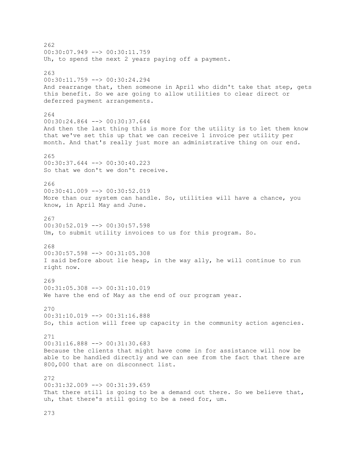262 00:30:07.949 --> 00:30:11.759 Uh, to spend the next 2 years paying off a payment. 263 00:30:11.759 --> 00:30:24.294 And rearrange that, then someone in April who didn't take that step, gets this benefit. So we are going to allow utilities to clear direct or deferred payment arrangements. 264 00:30:24.864 --> 00:30:37.644 And then the last thing this is more for the utility is to let them know that we've set this up that we can receive 1 invoice per utility per month. And that's really just more an administrative thing on our end. 265 00:30:37.644 --> 00:30:40.223 So that we don't we don't receive. 266 00:30:41.009 --> 00:30:52.019 More than our system can handle. So, utilities will have a chance, you know, in April May and June. 267 00:30:52.019 --> 00:30:57.598 Um, to submit utility invoices to us for this program. So. 268 00:30:57.598 --> 00:31:05.308 I said before about lie heap, in the way ally, he will continue to run right now. 269 00:31:05.308 --> 00:31:10.019 We have the end of May as the end of our program year. 270 00:31:10.019 --> 00:31:16.888 So, this action will free up capacity in the community action agencies. 271 00:31:16.888 --> 00:31:30.683 Because the clients that might have come in for assistance will now be able to be handled directly and we can see from the fact that there are 800,000 that are on disconnect list. 272 00:31:32.009 --> 00:31:39.659 That there still is going to be a demand out there. So we believe that, uh, that there's still going to be a need for, um.

273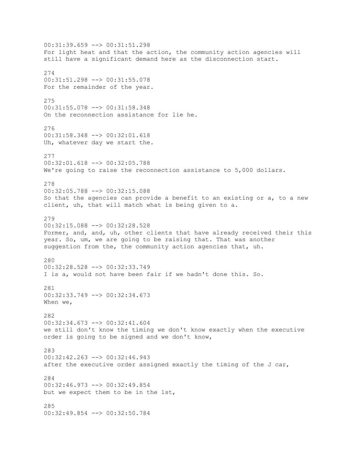00:31:39.659 --> 00:31:51.298 For light heat and that the action, the community action agencies will still have a significant demand here as the disconnection start. 274 00:31:51.298 --> 00:31:55.078 For the remainder of the year. 275 00:31:55.078 --> 00:31:58.348 On the reconnection assistance for lie he. 276 00:31:58.348 --> 00:32:01.618 Uh, whatever day we start the. 277 00:32:01.618 --> 00:32:05.788 We're going to raise the reconnection assistance to 5,000 dollars. 278 00:32:05.788 --> 00:32:15.088 So that the agencies can provide a benefit to an existing or a, to a new client, uh, that will match what is being given to a. 279 00:32:15.088 --> 00:32:28.528 Former, and, and, uh, other clients that have already received their this year. So, um, we are going to be raising that. That was another suggestion from the, the community action agencies that, uh. 280 00:32:28.528 --> 00:32:33.749 I is a, would not have been fair if we hadn't done this. So. 281 00:32:33.749 --> 00:32:34.673 When we, 282 00:32:34.673 --> 00:32:41.604 we still don't know the timing we don't know exactly when the executive order is going to be signed and we don't know, 283 00:32:42.263 --> 00:32:46.943 after the executive order assigned exactly the timing of the J car, 284 00:32:46.973 --> 00:32:49.854 but we expect them to be in the 1st, 285 00:32:49.854 --> 00:32:50.784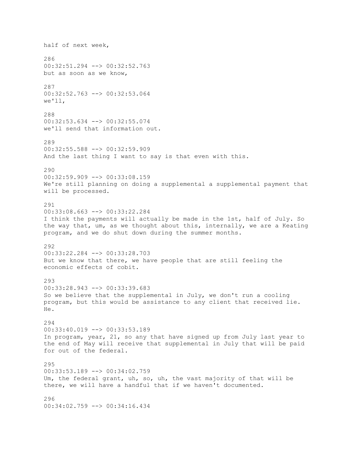half of next week, 286 00:32:51.294 --> 00:32:52.763 but as soon as we know, 287 00:32:52.763 --> 00:32:53.064 we'll, 288 00:32:53.634 --> 00:32:55.074 we'll send that information out. 289 00:32:55.588 --> 00:32:59.909 And the last thing I want to say is that even with this. 290 00:32:59.909 --> 00:33:08.159 We're still planning on doing a supplemental a supplemental payment that will be processed. 291 00:33:08.663 --> 00:33:22.284 I think the payments will actually be made in the 1st, half of July. So the way that, um, as we thought about this, internally, we are a Keating program, and we do shut down during the summer months. 292 00:33:22.284 --> 00:33:28.703 But we know that there, we have people that are still feeling the economic effects of cobit. 293 00:33:28.943 --> 00:33:39.683 So we believe that the supplemental in July, we don't run a cooling program, but this would be assistance to any client that received lie. He. 294 00:33:40.019 --> 00:33:53.189 In program, year, 21, so any that have signed up from July last year to the end of May will receive that supplemental in July that will be paid for out of the federal. 295 00:33:53.189 --> 00:34:02.759 Um, the federal grant, uh, so, uh, the vast majority of that will be there, we will have a handful that if we haven't documented. 296 00:34:02.759 --> 00:34:16.434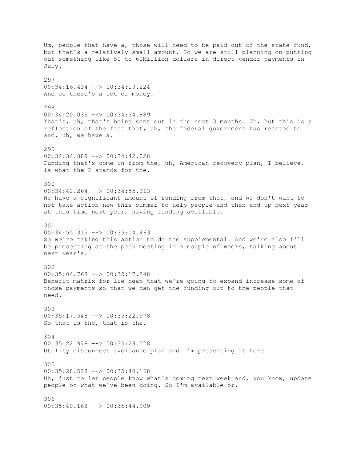Um, people that have a, those will need to be paid out of the state fund, but that's a relatively small amount. So we are still planning on putting out something like 50 to 60Million dollars in direct vendor payments in July. 297 00:34:16.434 --> 00:34:19.224 And so there's a lot of money. 298 00:34:20.039 --> 00:34:34.889 That's, uh, that's being sent out in the next 3 months. Uh, but this is a reflection of the fact that, uh, the federal government has reacted to and, uh, we have a. 299 00:34:34.889 --> 00:34:42.028 Funding that's come in from the, uh, American recovery plan, I believe, is what the P stands for the. 300 00:34:42.264 --> 00:34:55.313 We have a significant amount of funding from that, and we don't want to not take action now this summer to help people and then end up next year at this time next year, having funding available. 301 00:34:55.313 --> 00:35:04.463 So we're taking this action to do the supplemental. And we're also I'll be presenting at the pack meeting in a couple of weeks, talking about next year's. 302 00:35:04.768 --> 00:35:17.548 Benefit matrix for lie heap that we're going to expand increase some of those payments so that we can get the funding out to the people that need. 303 00:35:17.548 --> 00:35:22.978 So that is the, that is the. 304 00:35:22.978 --> 00:35:28.528 Utility disconnect avoidance plan and I'm presenting it here. 305 00:35:28.528 --> 00:35:40.168 Uh, just to let people know what's coming next week and, you know, update people on what we've been doing. So I'm available or. 306 00:35:40.168 --> 00:35:44.909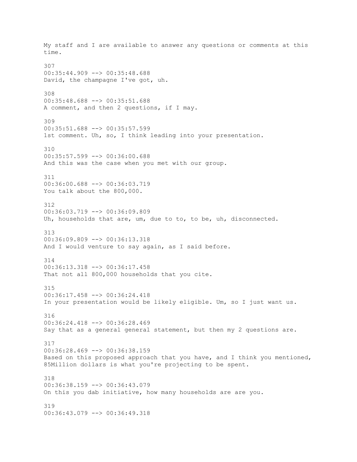My staff and I are available to answer any questions or comments at this time. 307 00:35:44.909 --> 00:35:48.688 David, the champagne I've got, uh. 308 00:35:48.688 --> 00:35:51.688 A comment, and then 2 questions, if I may. 309 00:35:51.688 --> 00:35:57.599 1st comment. Uh, so, I think leading into your presentation. 310 00:35:57.599 --> 00:36:00.688 And this was the case when you met with our group. 311 00:36:00.688 --> 00:36:03.719 You talk about the 800,000. 312 00:36:03.719 --> 00:36:09.809 Uh, households that are, um, due to to, to be, uh, disconnected. 313 00:36:09.809 --> 00:36:13.318 And I would venture to say again, as I said before. 314 00:36:13.318 --> 00:36:17.458 That not all 800,000 households that you cite. 315 00:36:17.458 --> 00:36:24.418 In your presentation would be likely eligible. Um, so I just want us. 316 00:36:24.418 --> 00:36:28.469 Say that as a general general statement, but then my 2 questions are. 317 00:36:28.469 --> 00:36:38.159 Based on this proposed approach that you have, and I think you mentioned, 85Million dollars is what you're projecting to be spent. 318 00:36:38.159 --> 00:36:43.079 On this you dab initiative, how many households are are you. 319 00:36:43.079 --> 00:36:49.318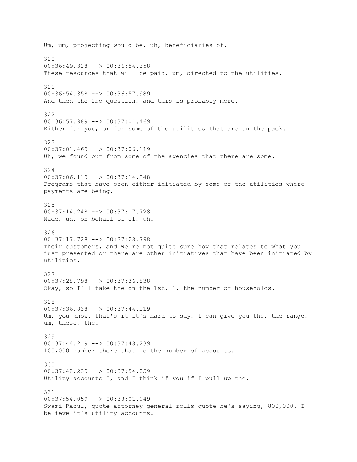Um, um, projecting would be, uh, beneficiaries of. 320  $00:36:49.318$   $\rightarrow$   $00:36:54.358$ These resources that will be paid, um, directed to the utilities. 321 00:36:54.358 --> 00:36:57.989 And then the 2nd question, and this is probably more. 322 00:36:57.989 --> 00:37:01.469 Either for you, or for some of the utilities that are on the pack. 323 00:37:01.469 --> 00:37:06.119 Uh, we found out from some of the agencies that there are some. 324 00:37:06.119 --> 00:37:14.248 Programs that have been either initiated by some of the utilities where payments are being. 325 00:37:14.248 --> 00:37:17.728 Made, uh, on behalf of of, uh. 326 00:37:17.728 --> 00:37:28.798 Their customers, and we're not quite sure how that relates to what you just presented or there are other initiatives that have been initiated by utilities. 327 00:37:28.798 --> 00:37:36.838 Okay, so I'll take the on the 1st, 1, the number of households. 328 00:37:36.838 --> 00:37:44.219 Um, you know, that's it it's hard to say, I can give you the, the range, um, these, the. 329 00:37:44.219 --> 00:37:48.239 100,000 number there that is the number of accounts. 330 00:37:48.239 --> 00:37:54.059 Utility accounts I, and I think if you if I pull up the. 331 00:37:54.059 --> 00:38:01.949 Swami Raoul, quote attorney general rolls quote he's saying, 800,000. I believe it's utility accounts.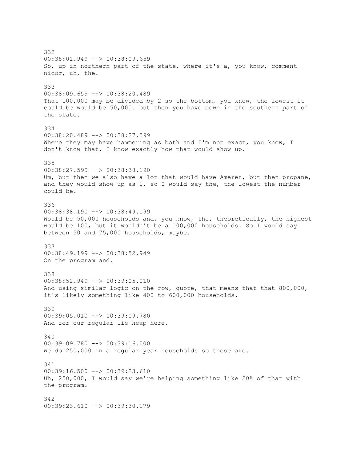332  $00:38:01.949$   $\longrightarrow 00:38:09.659$ So, up in northern part of the state, where it's a, you know, comment nicor, uh, the. 333 00:38:09.659 --> 00:38:20.489 That 100,000 may be divided by 2 so the bottom, you know, the lowest it could be would be 50,000. but then you have down in the southern part of the state. 334 00:38:20.489 --> 00:38:27.599 Where they may have hammering as both and I'm not exact, you know, I don't know that. I know exactly how that would show up. 335 00:38:27.599 --> 00:38:38.190 Um, but then we also have a lot that would have Ameren, but then propane, and they would show up as 1. so I would say the, the lowest the number could be. 336 00:38:38.190 --> 00:38:49.199 Would be 50,000 households and, you know, the, theoretically, the highest would be 100, but it wouldn't be a 100,000 households. So I would say between 50 and 75,000 households, maybe. 337 00:38:49.199 --> 00:38:52.949 On the program and. 338 00:38:52.949 --> 00:39:05.010 And using similar logic on the row, quote, that means that that 800,000, it's likely something like 400 to 600,000 households. 339 00:39:05.010 --> 00:39:09.780 And for our regular lie heap here. 340 00:39:09.780 --> 00:39:16.500 We do 250,000 in a regular year households so those are. 341 00:39:16.500 --> 00:39:23.610 Uh, 250,000, I would say we're helping something like 20% of that with the program. 342 00:39:23.610 --> 00:39:30.179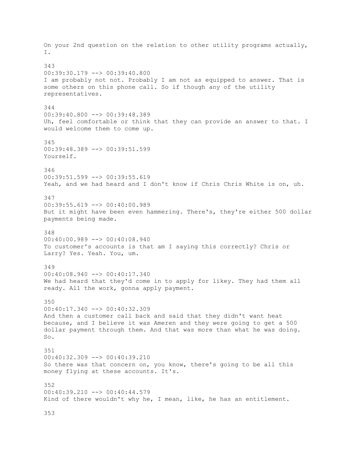On your 2nd question on the relation to other utility programs actually, I. 343 00:39:30.179 --> 00:39:40.800 I am probably not not. Probably I am not as equipped to answer. That is some others on this phone call. So if though any of the utility representatives. 344  $00:39:40.800$  -->  $00:39:48.389$ Uh, feel comfortable or think that they can provide an answer to that. I would welcome them to come up. 345 00:39:48.389 --> 00:39:51.599 Yourself. 346 00:39:51.599 --> 00:39:55.619 Yeah, and we had heard and I don't know if Chris Chris White is on, uh. 347 00:39:55.619 --> 00:40:00.989 But it might have been even hammering. There's, they're either 500 dollar payments being made. 348 00:40:00.989 --> 00:40:08.940 To customer's accounts is that am I saying this correctly? Chris or Larry? Yes. Yeah. You, um. 349 00:40:08.940 --> 00:40:17.340 We had heard that they'd come in to apply for likey. They had them all ready. All the work, gonna apply payment. 350 00:40:17.340 --> 00:40:32.309 And then a customer call back and said that they didn't want heat because, and I believe it was Ameren and they were going to get a 500 dollar payment through them. And that was more than what he was doing. So. 351  $00:40:32.309$   $\rightarrow$   $\rightarrow$   $00:40:39.210$ So there was that concern on, you know, there's going to be all this money flying at these accounts. It's. 352 00:40:39.210 --> 00:40:44.579 Kind of there wouldn't why he, I mean, like, he has an entitlement.

353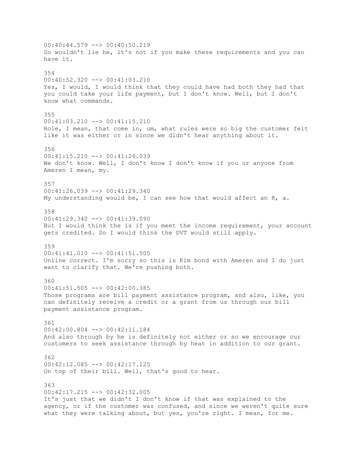00:40:44.579 --> 00:40:50.219 So wouldn't lie he, it's not if you make these requirements and you can have it. 354 00:40:52.320 --> 00:41:03.210 Yes, I would, I would think that they could have had both they had that you could take your life payment, but I don't know. Well, but I don't know what commands. 355 00:41:03.210 --> 00:41:15.210 Role, I mean, that come in, um, what rules were so big the customer felt like it was either or in since we didn't hear anything about it. 356 00:41:15.210 --> 00:41:26.039 We don't know. Well, I don't know I don't know if you or anyone from Ameren I mean, my. 357 00:41:26.039 --> 00:41:29.340 My understanding would be, I can see how that would affect an R, a. 358 00:41:29.340 --> 00:41:39.090 But I would think the is if you meet the income requirement, your account gets credited. So I would think the DVT would still apply. 359 00:41:41.010 --> 00:41:51.505 Online correct. I'm sorry so this is Kim bond with Ameren and I do just want to clarify that. We're pushing both. 360 00:41:51.505 --> 00:42:00.385 Those programs are bill payment assistance program, and also, like, you can definitely receive a credit or a grant from us through our bill payment assistance program. 361 00:42:00.804 --> 00:42:11.184 And also through by he is definitely not either or so we encourage our customers to seek assistance through by heat in addition to our grant. 362 00:42:12.085 --> 00:42:17.125 On top of their bill. Well, that's good to hear. 363 00:42:17.215 --> 00:42:32.005 It's just that we didn't I don't know if that was explained to the agency, or if the customer was confused, and since we weren't quite sure what they were talking about, but yes, you're right. I mean, for me.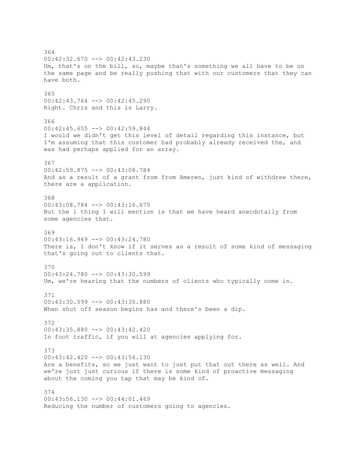364 00:42:32.670 --> 00:42:43.230 Um, that's on the bill, so, maybe that's something we all have to be on the same page and be really pushing that with our customers that they can have both. 365 00:42:43.764 --> 00:42:45.295 Right. Chris and this is Larry. 366 00:42:45.655 --> 00:42:59.844 I would we didn't get this level of detail regarding this instance, but I'm assuming that this customer had probably already received the, and was had perhaps applied for an array. 367 00:42:59.875 --> 00:43:08.784 And as a result of a grant from from Ameren, just kind of withdrew there, there are a application. 368 00:43:08.784 --> 00:43:16.675 But the 1 thing I will mention is that we have heard anecdotally from some agencies that. 369 00:43:16.949 --> 00:43:24.780 There is, I don't know if it serves as a result of some kind of messaging that's going out to clients that. 370 00:43:24.780 --> 00:43:30.599 Um, we're hearing that the numbers of clients who typically come in. 371 00:43:30.599 --> 00:43:35.880 When shut off season begins has and there's been a dip. 372 00:43:35.880 --> 00:43:42.420 In foot traffic, if you will at agencies applying for. 373  $00:43:42.420$   $\longrightarrow$   $00:43:56.130$ Are a benefits, so we just want to just put that out there as well. And we're just just curious if there is some kind of proactive messaging about the coming you tap that may be kind of. 374 00:43:56.130 --> 00:44:01.469 Reducing the number of customers going to agencies.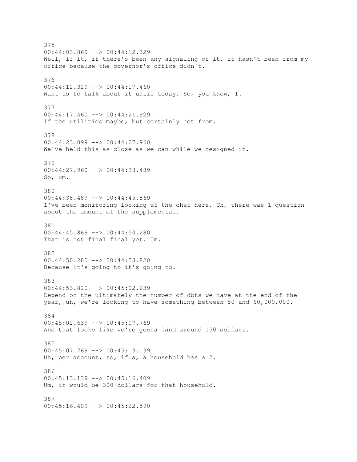375 00:44:03.869 --> 00:44:12.329 Well, if it, if there's been any signaling of it, it hasn't been from my office because the governor's office didn't. 376 00:44:12.329 --> 00:44:17.460 Want us to talk about it until today. So, you know, I. 377  $00:44:17.460$  -->  $00:44:21.929$ If the utilities maybe, but certainly not from. 378 00:44:23.099 --> 00:44:27.960 We've held this as close as we can while we designed it. 379 00:44:27.960 --> 00:44:38.489 So, um. 380 00:44:38.489 --> 00:44:45.869 I've been monitoring looking at the chat here. Uh, there was 1 question about the amount of the supplemental. 381 00:44:45.869 --> 00:44:50.280 That is not final final yet. Um. 382 00:44:50.280 --> 00:44:53.820 Because it's going to it's going to. 383 00:44:53.820 --> 00:45:02.639 Depend on the ultimately the number of dbts we have at the end of the year, uh, we're looking to have something between 50 and 60,000,000. 384 00:45:02.639 --> 00:45:07.769 And that looks like we're gonna land around 150 dollars. 385 00:45:07.769 --> 00:45:13.139 Uh, per account, so, if a, a household has a 2. 386 00:45:13.139 --> 00:45:16.409 Um, it would be 300 dollars for that household. 387  $00:45:16.409$  -->  $00:45:22.590$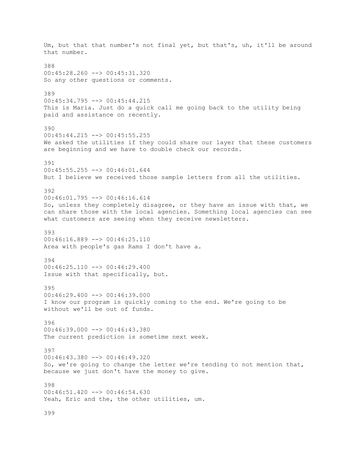Um, but that that number's not final yet, but that's, uh, it'll be around that number. 388 00:45:28.260 --> 00:45:31.320 So any other questions or comments. 389 00:45:34.795 --> 00:45:44.215 This is Maria. Just do a quick call me going back to the utility being paid and assistance on recently. 390 00:45:44.215 --> 00:45:55.255 We asked the utilities if they could share our layer that these customers are beginning and we have to double check our records. 391 00:45:55.255 --> 00:46:01.644 But I believe we received those sample letters from all the utilities. 392 00:46:01.795 --> 00:46:16.614 So, unless they completely disagree, or they have an issue with that, we can share those with the local agencies. Something local agencies can see what customers are seeing when they receive newsletters. 393 00:46:16.889 --> 00:46:25.110 Area with people's gas Rams I don't have a. 394 00:46:25.110 --> 00:46:29.400 Issue with that specifically, but. 395 00:46:29.400 --> 00:46:39.000 I know our program is quickly coming to the end. We're going to be without we'll be out of funds. 396 00:46:39.000 --> 00:46:43.380 The current prediction is sometime next week. 397  $00:46:43.380$   $\rightarrow$   $\rightarrow$   $00:46:49.320$ So, we're going to change the letter we're tending to not mention that, because we just don't have the money to give. 398 00:46:51.420 --> 00:46:54.630 Yeah, Eric and the, the other utilities, um. 399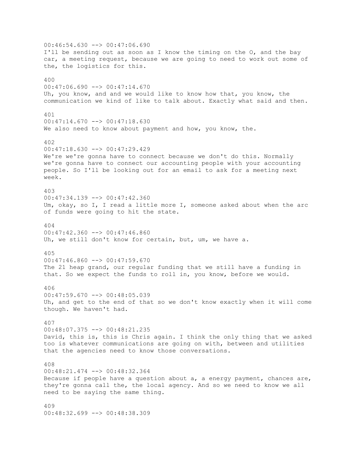$00:46:54.630$  -->  $00:47:06.690$ I'll be sending out as soon as I know the timing on the O, and the bay car, a meeting request, because we are going to need to work out some of the, the logistics for this. 400  $00:47:06.690$  -->  $00:47:14.670$ Uh, you know, and and we would like to know how that, you know, the communication we kind of like to talk about. Exactly what said and then. 401 00:47:14.670 --> 00:47:18.630 We also need to know about payment and how, you know, the. 402 00:47:18.630 --> 00:47:29.429 We're we're gonna have to connect because we don't do this. Normally we're gonna have to connect our accounting people with your accounting people. So I'll be looking out for an email to ask for a meeting next week. 403 00:47:34.139 --> 00:47:42.360 Um, okay, so I, I read a little more I, someone asked about when the arc of funds were going to hit the state. 404 00:47:42.360 --> 00:47:46.860 Uh, we still don't know for certain, but, um, we have a. 405  $00:47:46.860$  -->  $00:47:59.670$ The 21 heap grand, our regular funding that we still have a funding in that. So we expect the funds to roll in, you know, before we would. 406 00:47:59.670 --> 00:48:05.039 Uh, and get to the end of that so we don't know exactly when it will come though. We haven't had. 407 00:48:07.375 --> 00:48:21.235 David, this is, this is Chris again. I think the only thing that we asked too is whatever communications are going on with, between and utilities that the agencies need to know those conversations. 408 00:48:21.474 --> 00:48:32.364 Because if people have a question about a, a energy payment, chances are, they're gonna call the, the local agency. And so we need to know we all need to be saying the same thing. 409 00:48:32.699 --> 00:48:38.309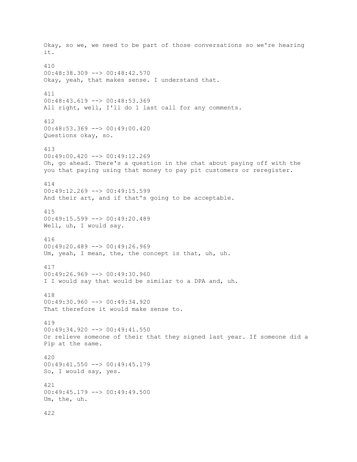Okay, so we, we need to be part of those conversations so we're hearing it. 410 00:48:38.309 --> 00:48:42.570 Okay, yeah, that makes sense. I understand that. 411 00:48:43.619 --> 00:48:53.369 All right, well, I'll do 1 last call for any comments. 412 00:48:53.369 --> 00:49:00.420 Questions okay, so. 413  $00:49:00.420$  -->  $00:49:12.269$ Oh, go ahead. There's a question in the chat about paying off with the you that paying using that money to pay pit customers or reregister. 414 00:49:12.269 --> 00:49:15.599 And their art, and if that's going to be acceptable. 415 00:49:15.599 --> 00:49:20.489 Well, uh, I would say. 416 00:49:20.489 --> 00:49:26.969 Um, yeah, I mean, the, the concept is that, uh, uh. 417 00:49:26.969 --> 00:49:30.960 I I would say that would be similar to a DPA and, uh. 418 00:49:30.960 --> 00:49:34.920 That therefore it would make sense to. 419 00:49:34.920 --> 00:49:41.550 Or relieve someone of their that they signed last year. If someone did a Pip at the same. 420 00:49:41.550 --> 00:49:45.179 So, I would say, yes. 421 00:49:45.179 --> 00:49:49.500 Um, the, uh. 422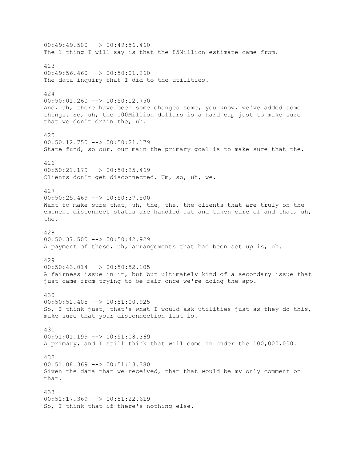$00:49:49.500$  -->  $00:49:56.460$ The 1 thing I will say is that the 85Million estimate came from. 423 00:49:56.460 --> 00:50:01.260 The data inquiry that I did to the utilities. 424 00:50:01.260 --> 00:50:12.750 And, uh, there have been some changes some, you know, we've added some things. So, uh, the 100Million dollars is a hard cap just to make sure that we don't drain the, uh. 425 00:50:12.750 --> 00:50:21.179 State fund, so our, our main the primary goal is to make sure that the. 426 00:50:21.179 --> 00:50:25.469 Clients don't get disconnected. Um, so, uh, we. 427 00:50:25.469 --> 00:50:37.500 Want to make sure that, uh, the, the, the clients that are truly on the eminent disconnect status are handled 1st and taken care of and that, uh, the. 428 00:50:37.500 --> 00:50:42.929 A payment of these, uh, arrangements that had been set up is, uh. 429 00:50:43.014 --> 00:50:52.105 A fairness issue in it, but but ultimately kind of a secondary issue that just came from trying to be fair once we're doing the app. 430 00:50:52.405 --> 00:51:00.925 So, I think just, that's what I would ask utilities just as they do this, make sure that your disconnection list is. 431 00:51:01.199 --> 00:51:08.369 A primary, and I still think that will come in under the 100,000,000. 432 00:51:08.369 --> 00:51:13.380 Given the data that we received, that that would be my only comment on that. 433 00:51:17.369 --> 00:51:22.619 So, I think that if there's nothing else.